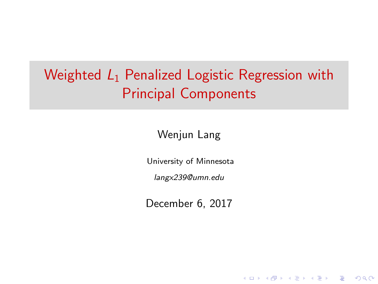# Weighted  $L_1$  Penalized Logistic Regression with Principal Components

Wenjun Lang

University of Minnesota

langx239@umn.edu

December 6, 2017

**KORKA SERKER ORA**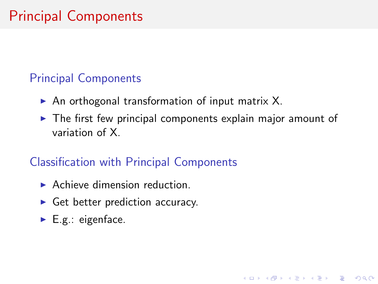# Principal Components

#### Principal Components

- $\triangleright$  An orthogonal transformation of input matrix X.
- $\triangleright$  The first few principal components explain major amount of variation of X.

**KORK ERKER ADE YOUR** 

### Classification with Principal Components

- $\blacktriangleright$  Achieve dimension reduction.
- $\triangleright$  Get better prediction accuracy.
- $\blacktriangleright$  E.g.: eigenface.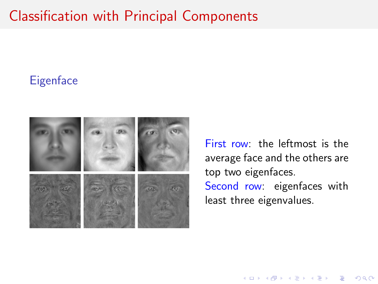## Classification with Principal Components

#### **Eigenface**



First row: the leftmost is the average face and the others are top two eigenfaces. Second row: eigenfaces with least three eigenvalues.

**KORK STRAIN A BAR SHOP**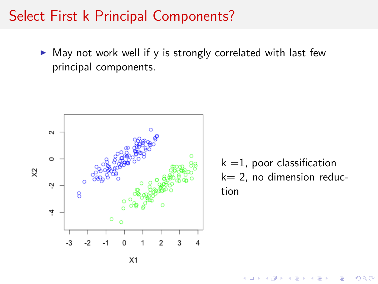### Select First k Principal Components?

 $\triangleright$  May not work well if y is strongly correlated with last few principal components.



 $k = 1$ , poor classification  $k= 2$ , no dimension reduction

**K ロ ト K 何 ト K ヨ ト** 

 $2990$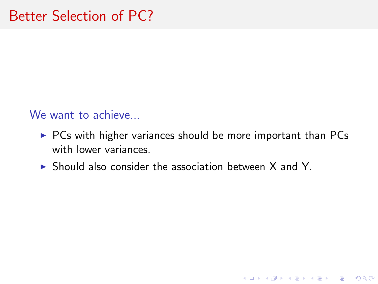We want to achieve...

 $\triangleright$  PCs with higher variances should be more important than PCs with lower variances.

K ロ ▶ K @ ▶ K 할 > K 할 > 1 할 > 1 이익어

 $\triangleright$  Should also consider the association between X and Y.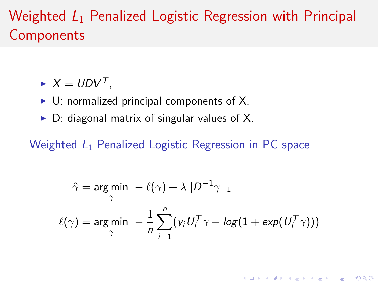## Weighted  $L_1$  Penalized Logistic Regression with Principal **Components**

- $\blacktriangleright$   $X = UDV^T$ .
- $\triangleright$  U: normalized principal components of X.
- $\triangleright$  D: diagonal matrix of singular values of X.

Weighted  $L_1$  Penalized Logistic Regression in PC space

$$
\hat{\gamma} = \underset{\gamma}{\arg\min} \ -\ell(\gamma) + \lambda ||D^{-1}\gamma||_1
$$

$$
\ell(\gamma) = \underset{\gamma}{\arg\min} \ -\frac{1}{n} \sum_{i=1}^n (y_i U_i^T \gamma - \log(1 + \exp(U_i^T \gamma)))
$$

**KORK ERKER ADE YOUR**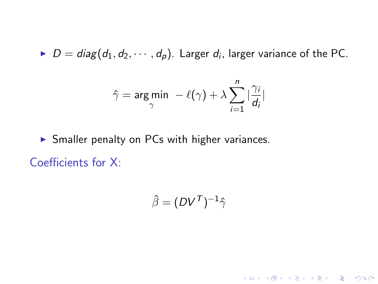$D = diag(d_1, d_2, \dots, d_p)$ . Larger  $d_i$ , larger variance of the PC.

$$
\hat{\gamma} = \underset{\gamma}{\arg \min} \ -\ell(\gamma) + \lambda \sum_{i=1}^{n} |\frac{\gamma_i}{d_i}|
$$

 $\triangleright$  Smaller penalty on PCs with higher variances. Coefficients for X:

$$
\hat{\beta} = (DV^{\mathcal{T}})^{-1} \hat{\gamma}
$$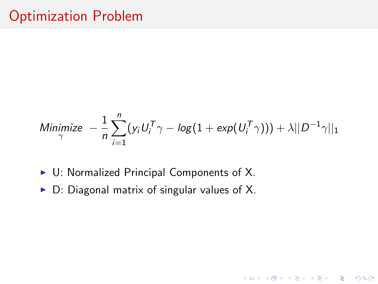### Optimization Problem

Minimize 
$$
-\frac{1}{n}\sum_{i=1}^{n}(y_iU_i^T\gamma - \log(1 + \exp(U_i^T\gamma))) + \lambda||D^{-1}\gamma||_1
$$

K ロ ▶ K @ ▶ K 할 > K 할 > 1 할 > 1 이익어

- $\triangleright$  U: Normalized Principal Components of X.
- $\triangleright$  D: Diagonal matrix of singular values of X.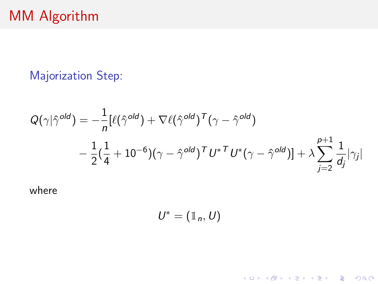### Majorization Step:

$$
Q(\gamma|\hat{\gamma}^{old}) = -\frac{1}{n} [\ell(\hat{\gamma}^{old}) + \nabla \ell(\hat{\gamma}^{old})^T (\gamma - \hat{\gamma}^{old})
$$
  

$$
-\frac{1}{2} (\frac{1}{4} + 10^{-6}) (\gamma - \hat{\gamma}^{old})^T U^* U^* (\gamma - \hat{\gamma}^{old})] + \lambda \sum_{j=2}^{p+1} \frac{1}{d_j} |\gamma_j|
$$

where

$$
U^*=(\mathbb{1}_n,U)
$$

K ロ ▶ K @ ▶ K 할 ▶ K 할 ▶ | 할 | ⊙Q @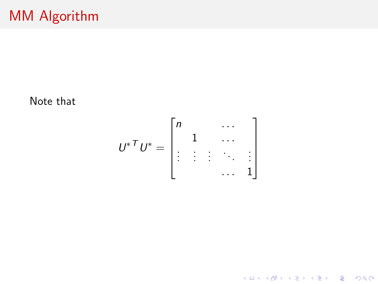Note that

$$
U^* \bigg[ U^* = \begin{bmatrix} n & \cdots & \cdots & \cdots & \cdots & \cdots & \cdots & \cdots & \cdots & \cdots & \cdots & \cdots & \cdots & \cdots & \cdots & \cdots & \cdots & \cdots & \cdots & \cdots & \cdots & \cdots & \cdots & \cdots & \cdots & \cdots & \cdots & \cdots & \cdots & \cdots & \cdots & \cdots & \cdots & \cdots & \cdots & \cdots & \cdots & \cdots & \cdots & \cdots & \cdots & \cdots & \cdots & \cdots & \cdots & \cdots & \cdots & \cdots & \cdots & \cdots & \cdots & \cdots & \cdots & \cdots & \cdots & \cdots & \cdots & \cdots & \cdots & \cdots & \cdots & \cdots & \cdots & \cdots & \cdots & \cdots & \cdots & \cdots & \cdots & \cdots & \cdots & \cdots & \cdots & \cdots & \cdots & \cdots & \cdots & \cdots & \cdots & \cdots & \cdots & \cdots & \cdots & \cdots & \cdots & \cdots & \cdots & \cdots & \cdots & \cdots & \cdots & \cdots & \cdots & \cdots & \cdots & \cdots & \cdots & \cdots & \cdots & \cdots & \cdots & \cdots & \cdots & \cdots & \cdots & \cdots & \cdots & \cdots & \cdots & \cdots & \cdots & \cdots & \cdots & \cdots & \cdots & \cdots & \cdots & \cdots & \cdots & \cdots & \cdots & \cdots & \cdots & \cdots &
$$

K ロ ▶ K @ ▶ K 할 ▶ K 할 ▶ | 할 | ⊙Q @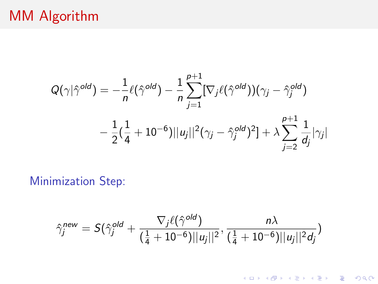## MM Algorithm

$$
Q(\gamma | \hat{\gamma}^{old}) = -\frac{1}{n} \ell(\hat{\gamma}^{old}) - \frac{1}{n} \sum_{j=1}^{p+1} [\nabla_j \ell(\hat{\gamma}^{old}))(\gamma_j - \hat{\gamma}^{old}_j) - \frac{1}{2} (\frac{1}{4} + 10^{-6}) ||u_j||^2 (\gamma_j - \hat{\gamma}^{old}_j)^2] + \lambda \sum_{j=2}^{p+1} \frac{1}{d_j} |\gamma_j|
$$

Minimization Step:

$$
\hat{\gamma}^{\text{new}}_j = S(\hat{\gamma}^{\text{old}}_j + \frac{\nabla_j \ell(\hat{\gamma}^{\text{old}})}{(\frac{1}{4}+10^{-6})||u_j||^2}, \frac{n\lambda}{(\frac{1}{4}+10^{-6})||u_j||^2d_j})
$$

K ロ X イロ X K ミ X K ミ X ミ X Y Q Q Q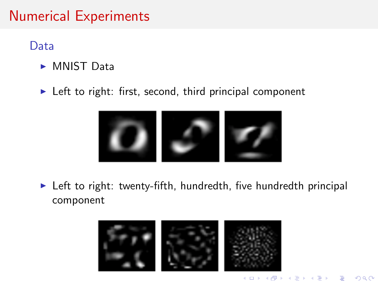## Numerical Experiments

Data

- $\triangleright$  MNIST Data
- $\blacktriangleright$  Left to right: first, second, third principal component



 $\triangleright$  Left to right: twenty-fifth, hundredth, five hundredth principal component